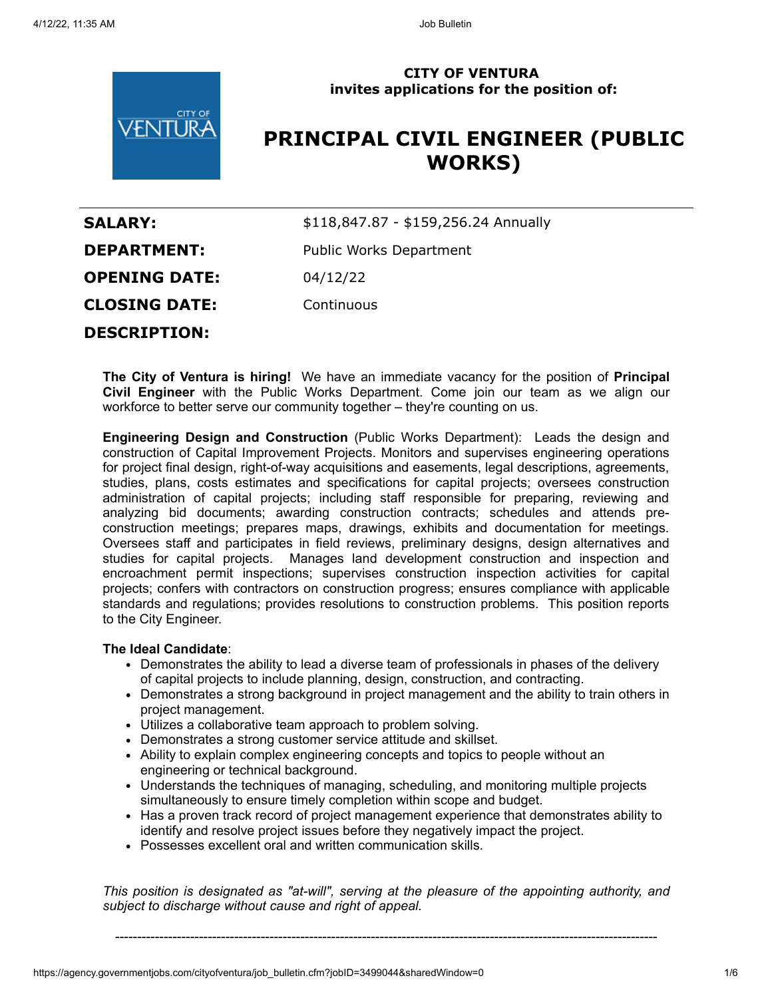

## **CITY OF VENTURA invites applications for the position of:**

# **PRINCIPAL CIVIL ENGINEER (PUBLIC WORKS)**

| <b>SALARY:</b>       | \$118,847.87 - \$159,256.24 Annually |
|----------------------|--------------------------------------|
| <b>DEPARTMENT:</b>   | Public Works Department              |
| <b>OPENING DATE:</b> | 04/12/22                             |
| <b>CLOSING DATE:</b> | Continuous                           |
| <b>DESCRIPTION:</b>  |                                      |

**The City of Ventura is hiring!** We have an immediate vacancy for the position of **Principal Civil Engineer** with the Public Works Department. Come join our team as we align our workforce to better serve our community together – they're counting on us.

**Engineering Design and Construction** (Public Works Department): Leads the design and construction of Capital Improvement Projects. Monitors and supervises engineering operations for project final design, right-of-way acquisitions and easements, legal descriptions, agreements, studies, plans, costs estimates and specifications for capital projects; oversees construction administration of capital projects; including staff responsible for preparing, reviewing and analyzing bid documents; awarding construction contracts; schedules and attends preconstruction meetings; prepares maps, drawings, exhibits and documentation for meetings. Oversees staff and participates in field reviews, preliminary designs, design alternatives and studies for capital projects. Manages land development construction and inspection and encroachment permit inspections; supervises construction inspection activities for capital projects; confers with contractors on construction progress; ensures compliance with applicable standards and regulations; provides resolutions to construction problems. This position reports to the City Engineer.

## **The Ideal Candidate**:

- Demonstrates the ability to lead a diverse team of professionals in phases of the delivery of capital projects to include planning, design, construction, and contracting.
- Demonstrates a strong background in project management and the ability to train others in project management.
- Utilizes a collaborative team approach to problem solving.
- Demonstrates a strong customer service attitude and skillset.
- Ability to explain complex engineering concepts and topics to people without an engineering or technical background.
- Understands the techniques of managing, scheduling, and monitoring multiple projects simultaneously to ensure timely completion within scope and budget.
- Has a proven track record of project management experience that demonstrates ability to identify and resolve project issues before they negatively impact the project.
- Possesses excellent oral and written communication skills.

*This position is designated as "at-will", serving at the pleasure of the appointing authority, and subject to discharge without cause and right of appeal.*

---------------------------------------------------------------------------------------------------------------------------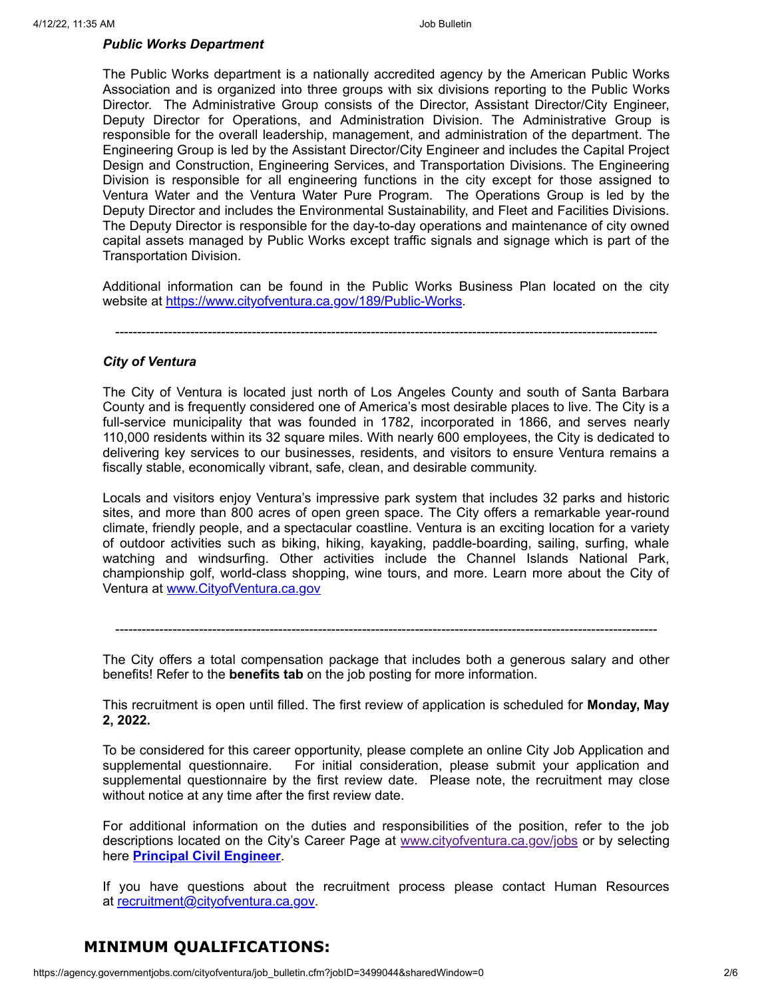#### *Public Works Department*

The Public Works department is a nationally accredited agency by the American Public Works Association and is organized into three groups with six divisions reporting to the Public Works Director. The Administrative Group consists of the Director, Assistant Director/City Engineer, Deputy Director for Operations, and Administration Division. The Administrative Group is responsible for the overall leadership, management, and administration of the department. The Engineering Group is led by the Assistant Director/City Engineer and includes the Capital Project Design and Construction, Engineering Services, and Transportation Divisions. The Engineering Division is responsible for all engineering functions in the city except for those assigned to Ventura Water and the Ventura Water Pure Program. The Operations Group is led by the Deputy Director and includes the Environmental Sustainability, and Fleet and Facilities Divisions. The Deputy Director is responsible for the day-to-day operations and maintenance of city owned capital assets managed by Public Works except traffic signals and signage which is part of the Transportation Division.

Additional information can be found in the Public Works Business Plan located on the city website at <https://www.cityofventura.ca.gov/189/Public-Works>.

---------------------------------------------------------------------------------------------------------------------------

## *City of Ventura*

The City of Ventura is located just north of Los Angeles County and south of Santa Barbara County and is frequently considered one of America's most desirable places to live. The City is a full-service municipality that was founded in 1782, incorporated in 1866, and serves nearly 110,000 residents within its 32 square miles. With nearly 600 employees, the City is dedicated to delivering key services to our businesses, residents, and visitors to ensure Ventura remains a fiscally stable, economically vibrant, safe, clean, and desirable community.

Locals and visitors enjoy Ventura's impressive park system that includes 32 parks and historic sites, and more than 800 acres of open green space. The City offers a remarkable year-round climate, friendly people, and a spectacular coastline. Ventura is an exciting location for a variety of outdoor activities such as biking, hiking, kayaking, paddle-boarding, sailing, surfing, whale watching and windsurfing. Other activities include the Channel Islands National Park, championship golf, world-class shopping, wine tours, and more. Learn more about the City of Ventura at [www.CityofVentura.ca.gov](http://www.cityofventura.ca.gov/)

---------------------------------------------------------------------------------------------------------------------------

The City offers a total compensation package that includes both a generous salary and other benefits! Refer to the **benefits tab** on the job posting for more information.

This recruitment is open until filled. The first review of application is scheduled for **Monday, May 2, 2022.**

To be considered for this career opportunity, please complete an online City Job Application and supplemental questionnaire. For initial consideration, please submit your application and supplemental questionnaire by the first review date. Please note, the recruitment may close without notice at any time after the first review date.

For additional information on the duties and responsibilities of the position, refer to the job descriptions located on the City's Career Page at [www.cityofventura.ca.gov/jobs](http://www.cityofventura.ca.gov/jobs) or by selecting here **[Principal Civil Engineer](https://www.governmentjobs.com/careers/cityofventura/classspecs/1308002?keywords=principal%20civil%20engineer&pagetype=classSpecifications)**.

If you have questions about the recruitment process please contact Human Resources at [recruitment@cityofventura.ca.gov.](mailto:recruitment@cityofventura.ca.gov)

# **MINIMUM QUALIFICATIONS:**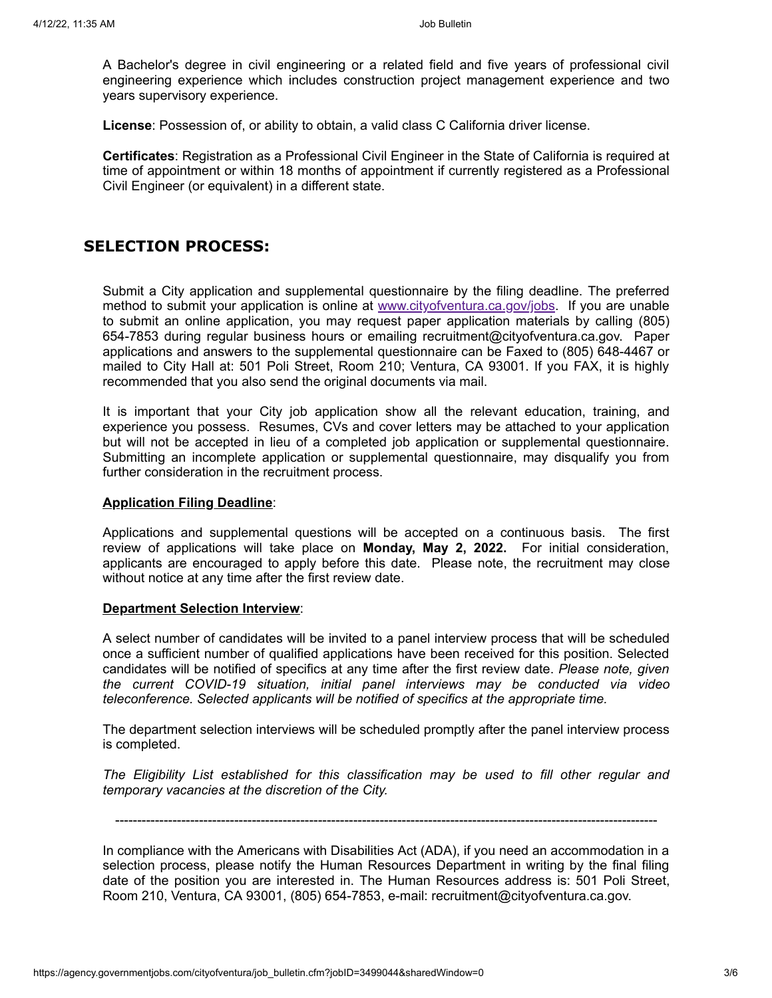A Bachelor's degree in civil engineering or a related field and five years of professional civil engineering experience which includes construction project management experience and two years supervisory experience.

**License**: Possession of, or ability to obtain, a valid class C California driver license.

**Certificates**: Registration as a Professional Civil Engineer in the State of California is required at time of appointment or within 18 months of appointment if currently registered as a Professional Civil Engineer (or equivalent) in a different state.

## **SELECTION PROCESS:**

Submit a City application and supplemental questionnaire by the filing deadline. The preferred method to submit your application is online at [www.cityofventura.ca.gov/jobs.](http://www.cityofventura.ca.gov/jobs) If you are unable to submit an online application, you may request paper application materials by calling (805) 654-7853 during regular business hours or emailing recruitment@cityofventura.ca.gov. Paper applications and answers to the supplemental questionnaire can be Faxed to (805) 648-4467 or mailed to City Hall at: 501 Poli Street, Room 210; Ventura, CA 93001. If you FAX, it is highly recommended that you also send the original documents via mail.

It is important that your City job application show all the relevant education, training, and experience you possess. Resumes, CVs and cover letters may be attached to your application but will not be accepted in lieu of a completed job application or supplemental questionnaire. Submitting an incomplete application or supplemental questionnaire, may disqualify you from further consideration in the recruitment process.

#### **Application Filing Deadline**:

Applications and supplemental questions will be accepted on a continuous basis. The first review of applications will take place on **Monday, May 2, 2022.** For initial consideration, applicants are encouraged to apply before this date. Please note, the recruitment may close without notice at any time after the first review date.

#### **Department Selection Interview**:

A select number of candidates will be invited to a panel interview process that will be scheduled once a sufficient number of qualified applications have been received for this position. Selected candidates will be notified of specifics at any time after the first review date. *Please note, given the current COVID-19 situation, initial panel interviews may be conducted via video teleconference. Selected applicants will be notified of specifics at the appropriate time.*

The department selection interviews will be scheduled promptly after the panel interview process is completed.

*The Eligibility List established for this classification may be used to fill other regular and temporary vacancies at the discretion of the City.*

---------------------------------------------------------------------------------------------------------------------------

In compliance with the Americans with Disabilities Act (ADA), if you need an accommodation in a selection process, please notify the Human Resources Department in writing by the final filing date of the position you are interested in. The Human Resources address is: 501 Poli Street, Room 210, Ventura, CA 93001, (805) 654-7853, e-mail: recruitment@cityofventura.ca.gov.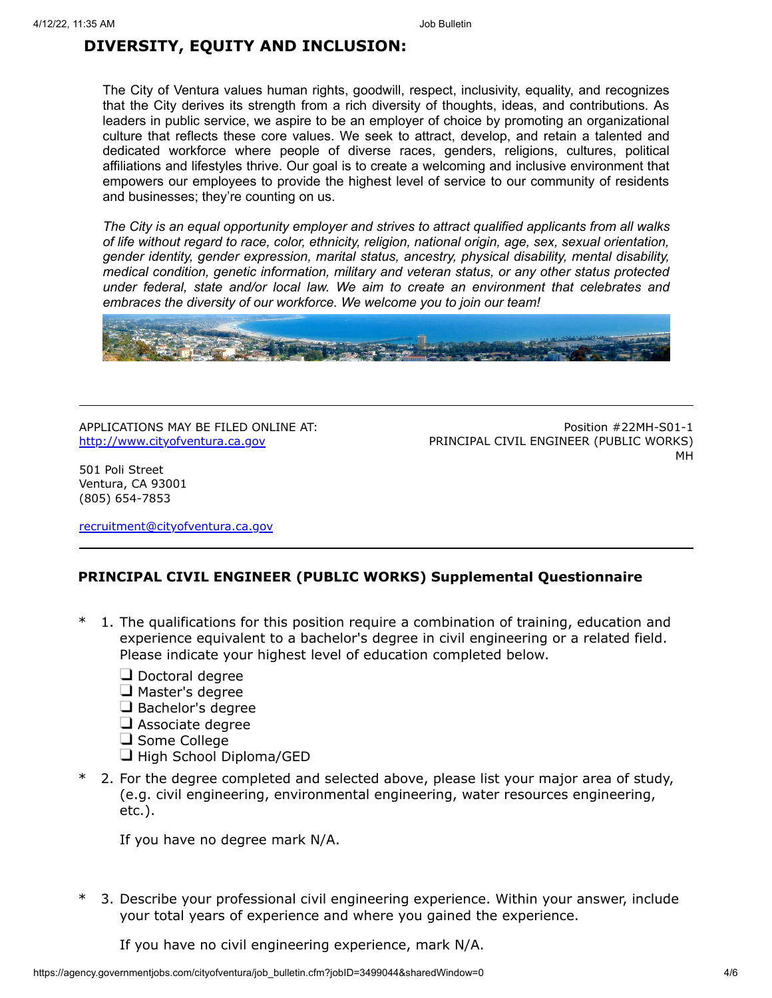## **DIVERSITY, EQUITY AND INCLUSION:**

The City of Ventura values human rights, goodwill, respect, inclusivity, equality, and recognizes that the City derives its strength from a rich diversity of thoughts, ideas, and contributions. As leaders in public service, we aspire to be an employer of choice by promoting an organizational culture that reflects these core values. We seek to attract, develop, and retain a talented and dedicated workforce where people of diverse races, genders, religions, cultures, political affiliations and lifestyles thrive. Our goal is to create a welcoming and inclusive environment that empowers our employees to provide the highest level of service to our community of residents and businesses; they're counting on us.

*The City is an equal opportunity employer and strives to attract qualified applicants from all walks of life without regard to race, color, ethnicity, religion, national origin, age, sex, sexual orientation, gender identity, gender expression, marital status, ancestry, physical disability, mental disability, medical condition, genetic information, military and veteran status, or any other status protected under federal, state and/or local law. We aim to create an environment that celebrates and embraces the diversity of our workforce. We welcome you to join our team!*



APPLICATIONS MAY BE FILED ONLINE AT: [http://www.cityofventura.ca.gov](http://www.cityofventura.ca.gov/)

Position #22MH-S01-1 PRINCIPAL CIVIL ENGINEER (PUBLIC WORKS) MH

501 Poli Street Ventura, CA 93001 (805) 654-7853

[recruitment@cityofventura.ca.gov](mailto:recruitment@cityofventura.ca.gov)

## **PRINCIPAL CIVIL ENGINEER (PUBLIC WORKS) Supplemental Questionnaire**

- \* 1. The qualifications for this position require a combination of training, education and experience equivalent to a bachelor's degree in civil engineering or a related field. Please indicate your highest level of education completed below.
	- $\Box$  Doctoral degree
	- $\Box$  Master's degree
	- Bachelor's degree
	- $\Box$  Associate degree
	- $\Box$  Some College
	- $\Box$  High School Diploma/GED
- 2. For the degree completed and selected above, please list your major area of study, (e.g. civil engineering, environmental engineering, water resources engineering, etc.).

If you have no degree mark N/A.

3. Describe your professional civil engineering experience. Within your answer, include your total years of experience and where you gained the experience.

If you have no civil engineering experience, mark N/A.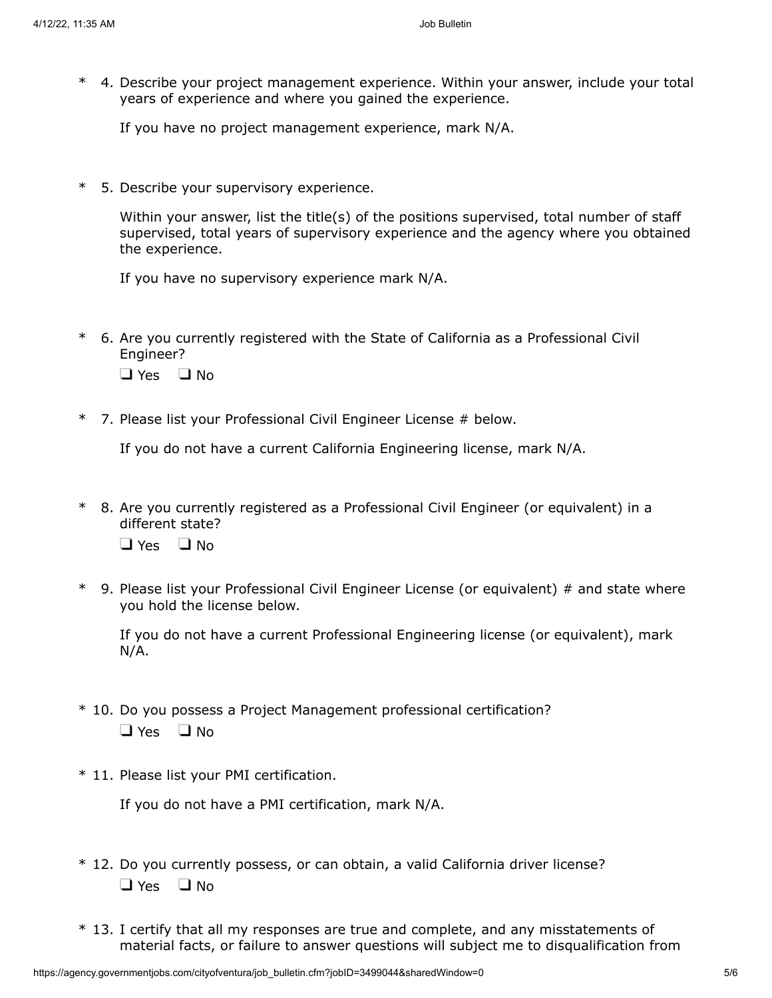\* 4. Describe your project management experience. Within your answer, include your total years of experience and where you gained the experience.

If you have no project management experience, mark N/A.

\* 5. Describe your supervisory experience.

Within your answer, list the title(s) of the positions supervised, total number of staff supervised, total years of supervisory experience and the agency where you obtained the experience.

If you have no supervisory experience mark N/A.

\* 6. Are you currently registered with the State of California as a Professional Civil Engineer?

 $\Box$  Yes  $\Box$  No

\* 7. Please list your Professional Civil Engineer License # below.

If you do not have a current California Engineering license, mark N/A.

- \* 8. Are you currently registered as a Professional Civil Engineer (or equivalent) in a different state?  $\Box$  Yes  $\Box$  No.
- \* 9. Please list your Professional Civil Engineer License (or equivalent) # and state where you hold the license below.

If you do not have a current Professional Engineering license (or equivalent), mark N/A.

- \* 10. Do you possess a Project Management professional certification?  $\Box$  Yes  $\Box$  No
- \* 11. Please list your PMI certification.

If you do not have a PMI certification, mark N/A.

- \* 12. Do you currently possess, or can obtain, a valid California driver license?  $\Box$  Yes  $\Box$  No
- \* 13. I certify that all my responses are true and complete, and any misstatements of material facts, or failure to answer questions will subject me to disqualification from